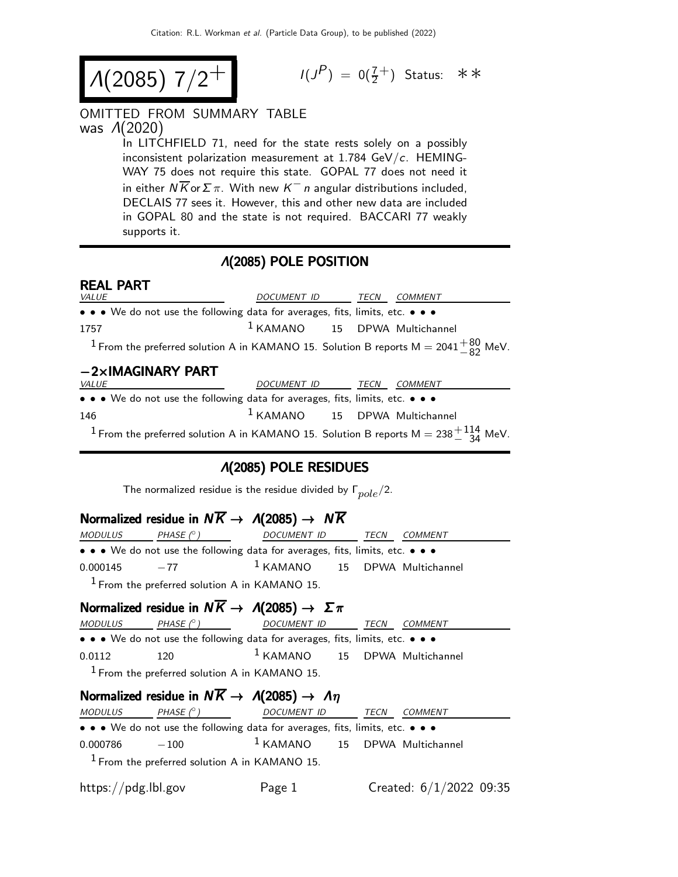$$
\Lambda(2085) \frac{7}{2}^{+}
$$

$$
I(J^P) = 0(\tfrac{7}{2}^+) \quad \text{Status:} \quad \text{*} \cdot \text{*}
$$

#### OMITTED FROM SUMMARY TABLE was Λ(2020)

In LITCHFIELD 71, need for the state rests solely on a possibly inconsistent polarization measurement at  $1.784$  GeV/ $c$ . HEMING-WAY 75 does not require this state. GOPAL 77 does not need it in either  $N\overline{K}$  or  $\Sigma \pi$ . With new  $K^-$  n angular distributions included, DECLAIS 77 sees it. However, this and other new data are included in GOPAL 80 and the state is not required. BACCARI 77 weakly supports it.

#### Λ(2085) POLE POSITION

| <b>REAL PART</b><br>VALUE                                                                                | DOCUMENT ID TECN                         |  | <i>COMMENT</i> |
|----------------------------------------------------------------------------------------------------------|------------------------------------------|--|----------------|
| • • • We do not use the following data for averages, fits, limits, etc. • • •                            |                                          |  |                |
| 1757                                                                                                     | <sup>1</sup> KAMANO 15 DPWA Multichannel |  |                |
| <sup>1</sup> From the preferred solution A in KAMANO 15. Solution B reports M = 2041 $^{+80}_{-82}$ MeV. |                                          |  |                |
| $-2\times$ IMAGINARY PART                                                                                |                                          |  |                |
| VALUE                                                                                                    | DOCUMENT ID TECN                         |  | COMMENT        |
| • • • We do not use the following data for averages, fits, limits, etc. • • •                            |                                          |  |                |
| 146                                                                                                      | <sup>1</sup> KAMANO 15 DPWA Multichannel |  |                |
| <sup>1</sup> From the preferred solution A in KAMANO 15. Solution B reports M = 238 $^{+114}_{-34}$ MeV. |                                          |  |                |

#### Λ(2085) POLE RESIDUES

The normalized residue is the residue divided by  $\Gamma_{pole}/2$ .

#### Normalized residue in  $N\overline{K} \rightarrow A(2085) \rightarrow N\overline{K}$

| <i>MODULUS</i> | PHASE $(^\circ)$ | DOCUMENT ID                                                                                                           | TECN | COMMENT |  |
|----------------|------------------|-----------------------------------------------------------------------------------------------------------------------|------|---------|--|
|                |                  | $\bullet \bullet \bullet$ We do not use the following data for averages, fits, limits, etc. $\bullet \bullet \bullet$ |      |         |  |
| $0.000145 -77$ |                  | $1$ KAMANO $15$ DPWA Multichannel                                                                                     |      |         |  |
|                |                  | $1$ From the preferred solution A in KAMANO 15.                                                                       |      |         |  |

#### Normalized residue in  $N\overline{K} \rightarrow \Lambda(2085) \rightarrow \Sigma \pi$

| <i>MODULUS</i> | PHASE $(^\circ)$ | DOCUMENT ID                                                                   | TECN | <i>COMMENT</i> |  |
|----------------|------------------|-------------------------------------------------------------------------------|------|----------------|--|
|                |                  | • • • We do not use the following data for averages, fits, limits, etc. • • • |      |                |  |
| 0.0112         | 120.             | $1$ KAMANO $15$ DPWA Multichannel                                             |      |                |  |
|                |                  | $1$ From the preferred solution A in KAMANO 15.                               |      |                |  |

### Normalized residue in  $N\overline{K} \rightarrow \Lambda(2085) \rightarrow \Lambda \eta$

| <i>MODULUS</i>      | PHASE $(^\circ)$ | DOCUMENT ID                                                                   | TECN | <i>COMMENT</i>            |  |
|---------------------|------------------|-------------------------------------------------------------------------------|------|---------------------------|--|
|                     |                  | • • • We do not use the following data for averages, fits, limits, etc. • • • |      |                           |  |
| 0.000786            | $-100$           | $1$ KAMANO $15$ DPWA Multichannel                                             |      |                           |  |
|                     |                  | $1$ From the preferred solution A in KAMANO 15.                               |      |                           |  |
| https://pdg.lbl.gov |                  | Page 1                                                                        |      | Created: $6/1/2022$ 09:35 |  |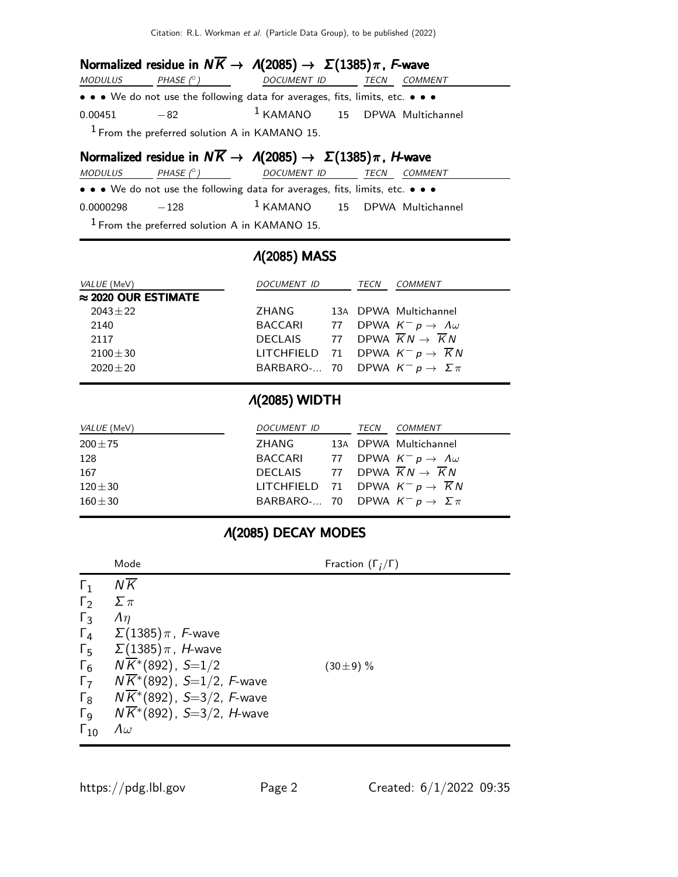Citation: R.L. Workman et al. (Particle Data Group), to be published (2022)

|         |                              | Normalized residue in $N\overline{K} \to \Lambda(2085) \to \Sigma(1385)\pi$ , F-wave |  |         |
|---------|------------------------------|--------------------------------------------------------------------------------------|--|---------|
|         | $MODULUS$ PHASE $(^{\circ})$ | DOCUMENT ID TECN                                                                     |  | COMMENT |
|         |                              | • • • We do not use the following data for averages, fits, limits, etc. • • •        |  |         |
| 0.00451 | $-82$                        | <sup>1</sup> KAMANO 15 DPWA Multichannel                                             |  |         |
|         |                              | $1$ From the preferred solution A in KAMANO 15.                                      |  |         |

### Normalized residue in  $N\overline{K}\rightarrow A(2085)\rightarrow \ \Sigma(1385)\pi$ , H-wave

| MODULUS           | PHASE $(^\circ)$ | DOCUMENT ID TECN                                                                                                      |  | <i>COMMENT</i> |  |
|-------------------|------------------|-----------------------------------------------------------------------------------------------------------------------|--|----------------|--|
|                   |                  | $\bullet \bullet \bullet$ We do not use the following data for averages, fits, limits, etc. $\bullet \bullet \bullet$ |  |                |  |
| $0.0000298 - 128$ |                  | $1$ KAMANO $15$ DPWA Multichannel                                                                                     |  |                |  |
|                   |                  | $1$ From the preferred solution A in KAMANO 15.                                                                       |  |                |  |

# Λ(2085) MASS

| <i>VALUE</i> (MeV)          | <i>DOCUMENT ID</i>                                        |  | <i>TECN COMMENT</i>                                   |
|-----------------------------|-----------------------------------------------------------|--|-------------------------------------------------------|
| $\approx$ 2020 OUR ESTIMATE |                                                           |  |                                                       |
| $2043 + 22$                 | ZHANG                                                     |  | 13A DPWA Multichannel                                 |
| 2140                        | BACCARI 77 DPWA $K^- p \to \Lambda \omega$                |  |                                                       |
| 2117                        | DECLAIS 77 DPWA $\overline{K}N \rightarrow \overline{K}N$ |  |                                                       |
| $2100 \pm 30$               |                                                           |  | LITCHFIELD 71 DPWA $K^- p \rightarrow \overline{K} N$ |
| $2020 + 20$                 | BARBARO- 70 DPWA $K^- p \to \Sigma \pi$                   |  |                                                       |

#### Λ(2085) WIDTH

| <i>VALUE</i> (MeV) | DOCUMENT ID TECN COMMENT                                  |  |                       |
|--------------------|-----------------------------------------------------------|--|-----------------------|
| $200 \pm 75$       | ZHANG                                                     |  | 13A DPWA Multichannel |
| 128                | BACCARI 77 DPWA $K^- p \to \Lambda \omega$                |  |                       |
| 167                | DECLAIS 77 DPWA $\overline{K}N \rightarrow \overline{K}N$ |  |                       |
| $120 \pm 30$       | LITCHFIELD 71 DPWA $K^- p \rightarrow \overline{K} N$     |  |                       |
| $160\pm30$         | BARBARO- 70 DPWA $K^- p \to \Sigma \pi$                   |  |                       |

## Λ(2085) DECAY MODES

|                       | Mode                                      | Fraction $(\Gamma_i/\Gamma)$ |
|-----------------------|-------------------------------------------|------------------------------|
| $\Gamma_1$            | $N\overline{K}$                           |                              |
| $\Gamma_2$            | $\Sigma \pi$                              |                              |
| $\Gamma_3$            | $\Lambda$                                 |                              |
| $\Gamma_4$            | $\Sigma(1385)\pi$ , F-wave                |                              |
| $\Gamma_5$            | $\Sigma(1385)\pi$ , <i>H</i> -wave        |                              |
| $\Gamma_6$            | $N\overline{K}$ <sup>*</sup> (892), S=1/2 | $(30\pm9)\%$                 |
| $\Gamma_7$            | $N\overline{K}^*(892)$ , S=1/2, F-wave    |                              |
| $\Gamma_8$            | $N\overline{K}^*(892)$ , S=3/2, F-wave    |                              |
| $\Gamma$ <sub>9</sub> | $N\overline{K}^*(892)$ , S=3/2, H-wave    |                              |
| $\Gamma_{10}$         | Λω                                        |                              |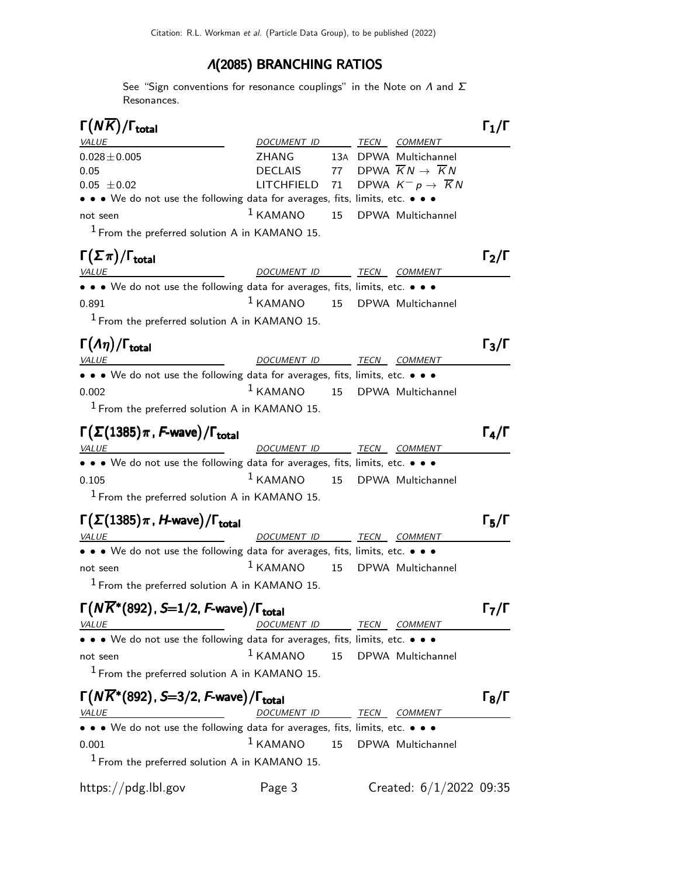# Λ(2085) BRANCHING RATIOS

See "Sign conventions for resonance couplings" in the Note on  $\Lambda$  and  $\Sigma$ Resonances.

| $\Gamma(N\overline{K})/\Gamma_{\rm total}$                                    |                          |    |                                                | $\Gamma_1/\Gamma$ |
|-------------------------------------------------------------------------------|--------------------------|----|------------------------------------------------|-------------------|
| <i>VALUE</i>                                                                  | DOCUMENT ID              |    | <i>TECN COMMENT</i>                            |                   |
| $0.028 \pm 0.005$                                                             | ZHANG                    |    | 13A DPWA Multichannel                          |                   |
| 0.05                                                                          | <b>DECLAIS</b>           | 77 | DPWA $\overline{K}N \rightarrow \overline{K}N$ |                   |
| $0.05 \pm 0.02$                                                               | LITCHFIELD 71            |    | DPWA $K^- p \rightarrow \overline{K} N$        |                   |
| • • • We do not use the following data for averages, fits, limits, etc. • • • |                          |    |                                                |                   |
| not seen                                                                      | $1$ KAMANO               | 15 | DPWA Multichannel                              |                   |
| $1$ From the preferred solution A in KAMANO 15.                               |                          |    |                                                |                   |
| $\Gamma(\Sigma \pi)/\Gamma_{\rm total}$                                       |                          |    |                                                | $\Gamma_2/\Gamma$ |
| <b>VALUE</b>                                                                  | DOCUMENT ID TECN COMMENT |    |                                                |                   |
| • • • We do not use the following data for averages, fits, limits, etc. • • • |                          |    |                                                |                   |
| 0.891                                                                         | $1$ KAMANO               | 15 | DPWA Multichannel                              |                   |
| $1$ From the preferred solution A in KAMANO 15.                               |                          |    |                                                |                   |
| $\Gamma(\Lambda \eta)/\Gamma_{\rm total}$                                     |                          |    |                                                | $\Gamma_3/\Gamma$ |
| VALUE                                                                         | DOCU <u>MENT ID</u>      |    | TECN COMMENT                                   |                   |
| • • • We do not use the following data for averages, fits, limits, etc. • • • |                          |    |                                                |                   |
| 0.002                                                                         | $1$ KAMANO               |    | 15 DPWA Multichannel                           |                   |
| $1$ From the preferred solution A in KAMANO 15.                               |                          |    |                                                |                   |
| $\Gamma(\Sigma(1385)\pi$ , F-wave)/ $\Gamma_{\rm total}$                      |                          |    |                                                | $\Gamma_4/\Gamma$ |
| <b>VALUE</b><br><u> 1989 - Johann Barbara, martin a</u>                       | DOCUMENT ID TECN COMMENT |    |                                                |                   |
| • • • We do not use the following data for averages, fits, limits, etc. • • • |                          |    |                                                |                   |
| 0.105                                                                         | $1$ KAMANO               | 15 | DPWA Multichannel                              |                   |
| $1$ From the preferred solution A in KAMANO 15.                               |                          |    |                                                |                   |
|                                                                               |                          |    |                                                |                   |
| $\Gamma(\Sigma(1385)\pi$ , <i>H</i> -wave)/ $\Gamma_{\text{total}}$           |                          |    |                                                | $\Gamma_5/\Gamma$ |
| <i>VALUE</i>                                                                  | DOCUMENT ID TECN COMMENT |    |                                                |                   |
| • • • We do not use the following data for averages, fits, limits, etc. • • • |                          |    |                                                |                   |
| not seen                                                                      | $1$ KAMANO               | 15 | DPWA Multichannel                              |                   |
| $1$ From the preferred solution A in KAMANO 15.                               |                          |    |                                                |                   |
| $\Gamma(N\overline{K}^*(892), S=1/2, F\text{-wave})/\Gamma_{\text{total}}$    |                          |    |                                                | $\Gamma_7/\Gamma$ |
| VALUE                                                                         | DOCUMENT ID              |    | TECN COMMENT                                   |                   |
| • • • We do not use the following data for averages, fits, limits, etc. • • • |                          |    |                                                |                   |
| not seen                                                                      | $1$ KAMANO               | 15 | DPWA Multichannel                              |                   |
| $1$ From the preferred solution A in KAMANO 15.                               |                          |    |                                                |                   |
|                                                                               |                          |    |                                                |                   |
| $\Gamma(N\overline{K}^*(892)$ , S=3/2, F-wave)/ $\Gamma_{\rm total}$          |                          |    |                                                | $\Gamma_8/\Gamma$ |
| <b>VALUE</b>                                                                  | DOCUMENT ID TECN COMMENT |    |                                                |                   |
| • • • We do not use the following data for averages, fits, limits, etc. • • • |                          |    |                                                |                   |
| 0.001                                                                         | $1$ KAMANO               | 15 | DPWA Multichannel                              |                   |
| $1$ From the preferred solution A in KAMANO 15.                               |                          |    |                                                |                   |
| https://pdg.lbl.gov                                                           | Page 3                   |    | Created: $6/1/2022$ 09:35                      |                   |
|                                                                               |                          |    |                                                |                   |